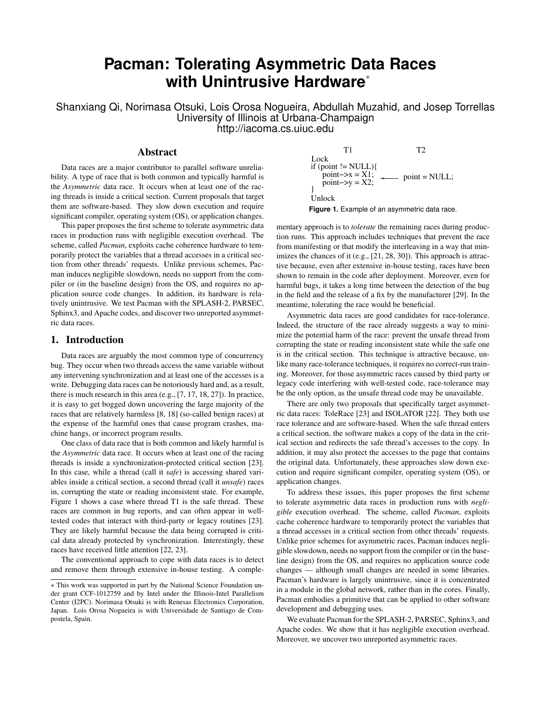# **Pacman: Tolerating Asymmetric Data Races with Unintrusive Hardware**<sup>∗</sup>

Shanxiang Qi, Norimasa Otsuki, Lois Orosa Nogueira, Abdullah Muzahid, and Josep Torrellas University of Illinois at Urbana-Champaign http://iacoma.cs.uiuc.edu

# **Abstract**

Data races are a major contributor to parallel software unreliability. A type of race that is both common and typically harmful is the *Asymmetric* data race. It occurs when at least one of the racing threads is inside a critical section. Current proposals that target them are software-based. They slow down execution and require significant compiler, operating system (OS), or application changes.

This paper proposes the first scheme to tolerate asymmetric data races in production runs with negligible execution overhead. The scheme, called *Pacman*, exploits cache coherence hardware to temporarily protect the variables that a thread accesses in a critical section from other threads' requests. Unlike previous schemes, Pacman induces negligible slowdown, needs no support from the compiler or (in the baseline design) from the OS, and requires no application source code changes. In addition, its hardware is relatively unintrusive. We test Pacman with the SPLASH-2, PARSEC, Sphinx3, and Apache codes, and discover two unreported asymmetric data races.

## **1. Introduction**

Data races are arguably the most common type of concurrency bug. They occur when two threads access the same variable without any intervening synchronization and at least one of the accesses is a write. Debugging data races can be notoriously hard and, as a result, there is much research in this area (e.g., [7, 17, 18, 27]). In practice, it is easy to get bogged down uncovering the large majority of the races that are relatively harmless [8, 18] (so-called benign races) at the expense of the harmful ones that cause program crashes, machine hangs, or incorrect program results.

One class of data race that is both common and likely harmful is the *Asymmetric* data race. It occurs when at least one of the racing threads is inside a synchronization-protected critical section [23]. In this case, while a thread (call it *safe*) is accessing shared variables inside a critical section, a second thread (call it *unsafe*) races in, corrupting the state or reading inconsistent state. For example, Figure 1 shows a case where thread T1 is the safe thread. These races are common in bug reports, and can often appear in welltested codes that interact with third-party or legacy routines [23]. They are likely harmful because the data being corrupted is critical data already protected by synchronization. Interestingly, these races have received little attention [22, 23].

The conventional approach to cope with data races is to detect and remove them through extensive in-house testing. A comple-



mentary approach is to *tolerate* the remaining races during production runs. This approach includes techniques that prevent the race from manifesting or that modify the interleaving in a way that minimizes the chances of it (e.g., [21, 28, 30]). This approach is attractive because, even after extensive in-house testing, races have been shown to remain in the code after deployment. Moreover, even for harmful bugs, it takes a long time between the detection of the bug in the field and the release of a fix by the manufacturer [29]. In the meantime, tolerating the race would be beneficial.

Asymmetric data races are good candidates for race-tolerance. Indeed, the structure of the race already suggests a way to minimize the potential harm of the race: prevent the unsafe thread from corrupting the state or reading inconsistent state while the safe one is in the critical section. This technique is attractive because, unlike many race-tolerance techniques, it requires no correct-run training. Moreover, for those asymmetric races caused by third party or legacy code interfering with well-tested code, race-tolerance may be the only option, as the unsafe thread code may be unavailable.

There are only two proposals that specifically target asymmetric data races: ToleRace [23] and ISOLATOR [22]. They both use race tolerance and are software-based. When the safe thread enters a critical section, the software makes a copy of the data in the critical section and redirects the safe thread's accesses to the copy. In addition, it may also protect the accesses to the page that contains the original data. Unfortunately, these approaches slow down execution and require significant compiler, operating system (OS), or application changes.

To address these issues, this paper proposes the first scheme to tolerate asymmetric data races in production runs with *negligible* execution overhead. The scheme, called *Pacman*, exploits cache coherence hardware to temporarily protect the variables that a thread accesses in a critical section from other threads' requests. Unlike prior schemes for asymmetric races, Pacman induces negligible slowdown, needs no support from the compiler or (in the baseline design) from the OS, and requires no application source code changes — although small changes are needed in some libraries. Pacman's hardware is largely unintrusive, since it is concentrated in a module in the global network, rather than in the cores. Finally, Pacman embodies a primitive that can be applied to other software development and debugging uses.

We evaluate Pacman for the SPLASH-2, PARSEC, Sphinx3, and Apache codes. We show that it has negligible execution overhead. Moreover, we uncover two unreported asymmetric races.

<sup>∗</sup> This work was supported in part by the National Science Foundation under grant CCF-1012759 and by Intel under the Illinois-Intel Parallelism Center (I2PC). Norimasa Otsuki is with Renesas Electronics Corporation, Japan. Lois Orosa Nogueira is with Universidade de Santiago de Compostela, Spain.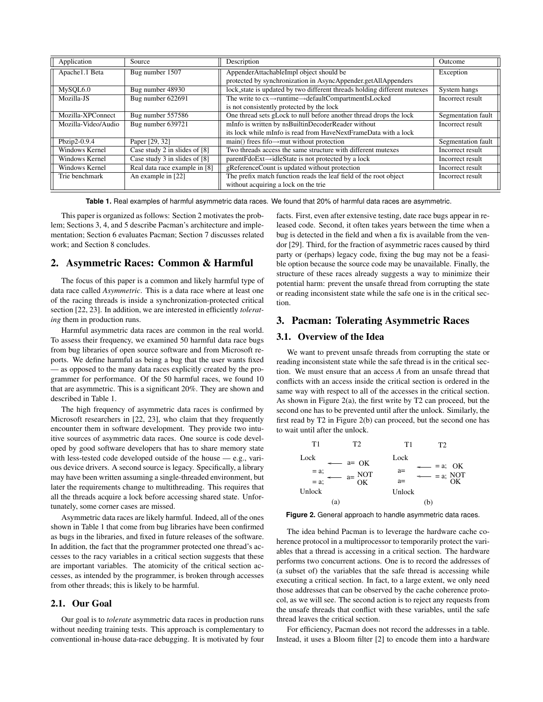| Application           | Source                        | Description                                                              | Outcome            |
|-----------------------|-------------------------------|--------------------------------------------------------------------------|--------------------|
| Apache 1.1 Beta       | Bug number 1507               | AppenderAttachableImpl object should be                                  | Exception          |
|                       |                               | protected by synchronization in AsyncAppender.getAllAppenders            |                    |
| MySQL6.0              | Bug number 48930              | lock_state is updated by two different threads holding different mutexes | System hangs       |
| Mozilla-JS            | Bug number 622691             | The write to cx→runtime→defaultCompartmentIsLocked                       | Incorrect result   |
|                       |                               | is not consistently protected by the lock                                |                    |
| Mozilla-XPConnect     | Bug number 557586             | One thread sets gLock to null before another thread drops the lock       | Segmentation fault |
| Mozilla-Video/Audio   | Bug number 639721             | mInfo is written by nsBuiltinDecoderReader without                       | Incorrect result   |
|                       |                               | its lock while mInfo is read from HaveNextFrameData with a lock          |                    |
| Pbzip2-0.9.4          | Paper [29, 32]                | main() frees fifo $\rightarrow$ mut without protection                   | Segmentation fault |
| <b>Windows Kernel</b> | Case study 2 in slides of [8] | Two threads access the same structure with different mutexes             | Incorrect result   |
| Windows Kernel        | Case study 3 in slides of [8] | $parentFdoExt \rightarrow idleState$ is not protected by a lock          | Incorrect result   |
| Windows Kernel        | Real data race example in [8] | gReferenceCount is updated without protection                            | Incorrect result   |
| Trie benchmark        | An example in [22]            | The prefix match function reads the leaf field of the root object        | Incorrect result   |
|                       |                               | without acquiring a lock on the trie                                     |                    |

**Table 1.** Real examples of harmful asymmetric data races. We found that 20% of harmful data races are asymmetric.

This paper is organized as follows: Section 2 motivates the problem; Sections 3, 4, and 5 describe Pacman's architecture and implementation; Section 6 evaluates Pacman; Section 7 discusses related work; and Section 8 concludes.

# **2. Asymmetric Races: Common & Harmful**

The focus of this paper is a common and likely harmful type of data race called *Asymmetric*. This is a data race where at least one of the racing threads is inside a synchronization-protected critical section [22, 23]. In addition, we are interested in efficiently *tolerating* them in production runs.

Harmful asymmetric data races are common in the real world. To assess their frequency, we examined 50 harmful data race bugs from bug libraries of open source software and from Microsoft reports. We define harmful as being a bug that the user wants fixed — as opposed to the many data races explicitly created by the programmer for performance. Of the 50 harmful races, we found 10 that are asymmetric. This is a significant 20%. They are shown and described in Table 1.

The high frequency of asymmetric data races is confirmed by Microsoft researchers in [22, 23], who claim that they frequently encounter them in software development. They provide two intuitive sources of asymmetric data races. One source is code developed by good software developers that has to share memory state with less-tested code developed outside of the house — e.g., various device drivers. A second source is legacy. Specifically, a library may have been written assuming a single-threaded environment, but later the requirements change to multithreading. This requires that all the threads acquire a lock before accessing shared state. Unfortunately, some corner cases are missed.

Asymmetric data races are likely harmful. Indeed, all of the ones shown in Table 1 that come from bug libraries have been confirmed as bugs in the libraries, and fixed in future releases of the software. In addition, the fact that the programmer protected one thread's accesses to the racy variables in a critical section suggests that these are important variables. The atomicity of the critical section accesses, as intended by the programmer, is broken through accesses from other threads; this is likely to be harmful.

# **2.1. Our Goal**

Our goal is to *tolerate* asymmetric data races in production runs without needing training tests. This approach is complementary to conventional in-house data-race debugging. It is motivated by four

facts. First, even after extensive testing, date race bugs appear in released code. Second, it often takes years between the time when a bug is detected in the field and when a fix is available from the vendor [29]. Third, for the fraction of asymmetric races caused by third party or (perhaps) legacy code, fixing the bug may not be a feasible option because the source code may be unavailable. Finally, the structure of these races already suggests a way to minimize their potential harm: prevent the unsafe thread from corrupting the state or reading inconsistent state while the safe one is in the critical section.

## **3. Pacman: Tolerating Asymmetric Races**

## **3.1. Overview of the Idea**

We want to prevent unsafe threads from corrupting the state or reading inconsistent state while the safe thread is in the critical section. We must ensure that an access *A* from an unsafe thread that conflicts with an access inside the critical section is ordered in the same way with respect to all of the accesses in the critical section. As shown in Figure 2(a), the first write by T2 can proceed, but the second one has to be prevented until after the unlock. Similarly, the first read by T2 in Figure 2(b) can proceed, but the second one has to wait until after the unlock.

| T1                                | T2                                        | Τ1                             | T2                                                  |  |  |
|-----------------------------------|-------------------------------------------|--------------------------------|-----------------------------------------------------|--|--|
| Lock<br>$= a;$<br>$= a$<br>Unlock | $\leftarrow$ a= OK<br>$\leftarrow$ a= NOT | Lock<br>$a=$<br>$a=$<br>Unlock | $\leftarrow$ = a; OK<br>$\leftarrow$ = a; NOT<br>ΩK |  |  |
|                                   | (a)                                       | b,                             |                                                     |  |  |

**Figure 2.** General approach to handle asymmetric data races.

The idea behind Pacman is to leverage the hardware cache coherence protocol in a multiprocessor to temporarily protect the variables that a thread is accessing in a critical section. The hardware performs two concurrent actions. One is to record the addresses of (a subset of) the variables that the safe thread is accessing while executing a critical section. In fact, to a large extent, we only need those addresses that can be observed by the cache coherence protocol, as we will see. The second action is to reject any requests from the unsafe threads that conflict with these variables, until the safe thread leaves the critical section.

For efficiency, Pacman does not record the addresses in a table. Instead, it uses a Bloom filter [2] to encode them into a hardware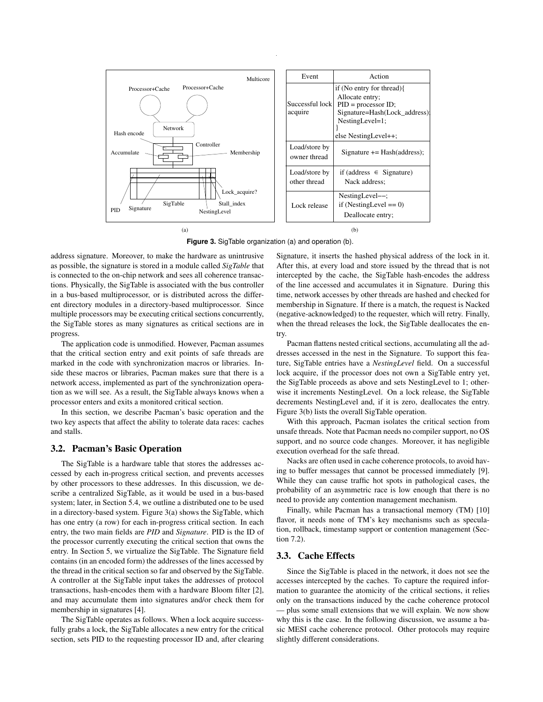

**Figure 3.** SigTable organization (a) and operation (b).

address signature. Moreover, to make the hardware as unintrusive as possible, the signature is stored in a module called *SigTable* that is connected to the on-chip network and sees all coherence transactions. Physically, the SigTable is associated with the bus controller in a bus-based multiprocessor, or is distributed across the different directory modules in a directory-based multiprocessor. Since multiple processors may be executing critical sections concurrently, the SigTable stores as many signatures as critical sections are in progress.

The application code is unmodified. However, Pacman assumes that the critical section entry and exit points of safe threads are marked in the code with synchronization macros or libraries. Inside these macros or libraries, Pacman makes sure that there is a network access, implemented as part of the synchronization operation as we will see. As a result, the SigTable always knows when a processor enters and exits a monitored critical section.

In this section, we describe Pacman's basic operation and the two key aspects that affect the ability to tolerate data races: caches and stalls.

#### **3.2. Pacman's Basic Operation**

The SigTable is a hardware table that stores the addresses accessed by each in-progress critical section, and prevents accesses by other processors to these addresses. In this discussion, we describe a centralized SigTable, as it would be used in a bus-based system; later, in Section 5.4, we outline a distributed one to be used in a directory-based system. Figure 3(a) shows the SigTable, which has one entry (a row) for each in-progress critical section. In each entry, the two main fields are *PID* and *Signature*. PID is the ID of the processor currently executing the critical section that owns the entry. In Section 5, we virtualize the SigTable. The Signature field contains (in an encoded form) the addresses of the lines accessed by the thread in the critical section so far and observed by the SigTable. A controller at the SigTable input takes the addresses of protocol transactions, hash-encodes them with a hardware Bloom filter [2], and may accumulate them into signatures and/or check them for membership in signatures [4].

The SigTable operates as follows. When a lock acquire successfully grabs a lock, the SigTable allocates a new entry for the critical section, sets PID to the requesting processor ID and, after clearing Signature, it inserts the hashed physical address of the lock in it. After this, at every load and store issued by the thread that is not intercepted by the cache, the SigTable hash-encodes the address of the line accessed and accumulates it in Signature. During this time, network accesses by other threads are hashed and checked for membership in Signature. If there is a match, the request is Nacked (negative-acknowledged) to the requester, which will retry. Finally, when the thread releases the lock, the SigTable deallocates the entry.

Pacman flattens nested critical sections, accumulating all the addresses accessed in the nest in the Signature. To support this feature, SigTable entries have a *NestingLevel* field. On a successful lock acquire, if the processor does not own a SigTable entry yet, the SigTable proceeds as above and sets NestingLevel to 1; otherwise it increments NestingLevel. On a lock release, the SigTable decrements NestingLevel and, if it is zero, deallocates the entry. Figure 3(b) lists the overall SigTable operation.

With this approach, Pacman isolates the critical section from unsafe threads. Note that Pacman needs no compiler support, no OS support, and no source code changes. Moreover, it has negligible execution overhead for the safe thread.

Nacks are often used in cache coherence protocols, to avoid having to buffer messages that cannot be processed immediately [9]. While they can cause traffic hot spots in pathological cases, the probability of an asymmetric race is low enough that there is no need to provide any contention management mechanism.

Finally, while Pacman has a transactional memory (TM) [10] flavor, it needs none of TM's key mechanisms such as speculation, rollback, timestamp support or contention management (Section 7.2).

#### **3.3. Cache Effects**

Since the SigTable is placed in the network, it does not see the accesses intercepted by the caches. To capture the required information to guarantee the atomicity of the critical sections, it relies only on the transactions induced by the cache coherence protocol — plus some small extensions that we will explain. We now show why this is the case. In the following discussion, we assume a basic MESI cache coherence protocol. Other protocols may require slightly different considerations.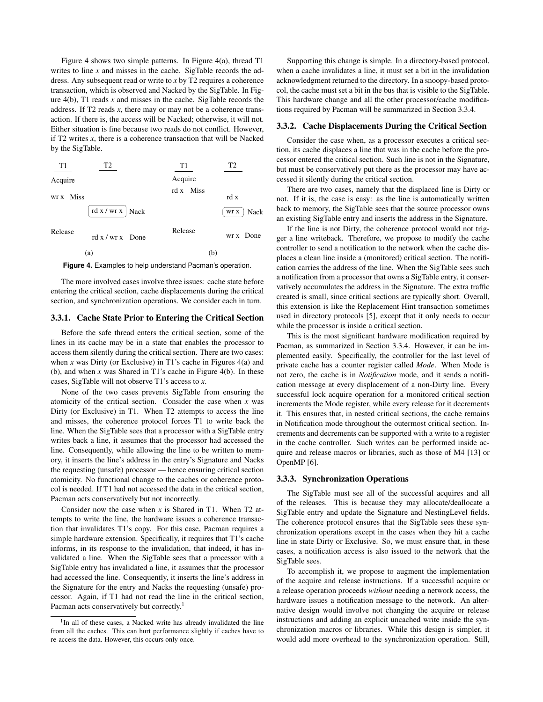Figure 4 shows two simple patterns. In Figure 4(a), thread T1 writes to line *x* and misses in the cache. SigTable records the address. Any subsequent read or write to *x* by T2 requires a coherence transaction, which is observed and Nacked by the SigTable. In Figure 4(b), T1 reads *x* and misses in the cache. SigTable records the address. If T2 reads *x*, there may or may not be a coherence transaction. If there is, the access will be Nacked; otherwise, it will not. Either situation is fine because two reads do not conflict. However, if T2 writes *x*, there is a coherence transaction that will be Nacked by the SigTable.

| T1        | T2 | T1        | T2   |
|-----------|----|-----------|------|
| Acquire   |    | Acquire   |      |
| wr x Miss |    | rd x Miss | rd x |

$$
\boxed{\text{rd } x / \text{wr } x}
$$
 
$$
\boxed{\text{wrx}}
$$
 
$$
\boxed{\text{wrx}}
$$
 
$$
\boxed{\text{wrx}}
$$

Release rd x / wr x Done Release wr x Done

 (a) (b)

**Figure 4.** Examples to help understand Pacman's operation.

The more involved cases involve three issues: cache state before entering the critical section, cache displacements during the critical section, and synchronization operations. We consider each in turn.

#### **3.3.1. Cache State Prior to Entering the Critical Section**

Before the safe thread enters the critical section, some of the lines in its cache may be in a state that enables the processor to access them silently during the critical section. There are two cases: when  $x$  was Dirty (or Exclusive) in T1's cache in Figures  $4(a)$  and (b), and when *x* was Shared in T1's cache in Figure 4(b). In these cases, SigTable will not observe T1's access to *x*.

None of the two cases prevents SigTable from ensuring the atomicity of the critical section. Consider the case when *x* was Dirty (or Exclusive) in T1. When T2 attempts to access the line and misses, the coherence protocol forces T1 to write back the line. When the SigTable sees that a processor with a SigTable entry writes back a line, it assumes that the processor had accessed the line. Consequently, while allowing the line to be written to memory, it inserts the line's address in the entry's Signature and Nacks the requesting (unsafe) processor — hence ensuring critical section atomicity. No functional change to the caches or coherence protocol is needed. If T1 had not accessed the data in the critical section, Pacman acts conservatively but not incorrectly.

Consider now the case when *x* is Shared in T1. When T2 attempts to write the line, the hardware issues a coherence transaction that invalidates T1's copy. For this case, Pacman requires a simple hardware extension. Specifically, it requires that T1's cache informs, in its response to the invalidation, that indeed, it has invalidated a line. When the SigTable sees that a processor with a SigTable entry has invalidated a line, it assumes that the processor had accessed the line. Consequently, it inserts the line's address in the Signature for the entry and Nacks the requesting (unsafe) processor. Again, if T1 had not read the line in the critical section, Pacman acts conservatively but correctly.<sup>1</sup>

Supporting this change is simple. In a directory-based protocol, when a cache invalidates a line, it must set a bit in the invalidation acknowledgment returned to the directory. In a snoopy-based protocol, the cache must set a bit in the bus that is visible to the SigTable. This hardware change and all the other processor/cache modifications required by Pacman will be summarized in Section 3.3.4.

#### **3.3.2. Cache Displacements During the Critical Section**

Consider the case when, as a processor executes a critical section, its cache displaces a line that was in the cache before the processor entered the critical section. Such line is not in the Signature, but must be conservatively put there as the processor may have accessed it silently during the critical section.

There are two cases, namely that the displaced line is Dirty or not. If it is, the case is easy: as the line is automatically written back to memory, the SigTable sees that the source processor owns an existing SigTable entry and inserts the address in the Signature.

If the line is not Dirty, the coherence protocol would not trigger a line writeback. Therefore, we propose to modify the cache controller to send a notification to the network when the cache displaces a clean line inside a (monitored) critical section. The notification carries the address of the line. When the SigTable sees such a notification from a processor that owns a SigTable entry, it conservatively accumulates the address in the Signature. The extra traffic created is small, since critical sections are typically short. Overall, this extension is like the Replacement Hint transaction sometimes used in directory protocols [5], except that it only needs to occur while the processor is inside a critical section.

This is the most significant hardware modification required by Pacman, as summarized in Section 3.3.4. However, it can be implemented easily. Specifically, the controller for the last level of private cache has a counter register called *Mode*. When Mode is not zero, the cache is in *Notification* mode, and it sends a notification message at every displacement of a non-Dirty line. Every successful lock acquire operation for a monitored critical section increments the Mode register, while every release for it decrements it. This ensures that, in nested critical sections, the cache remains in Notification mode throughout the outermost critical section. Increments and decrements can be supported with a write to a register in the cache controller. Such writes can be performed inside acquire and release macros or libraries, such as those of M4 [13] or OpenMP [6].

#### **3.3.3. Synchronization Operations**

The SigTable must see all of the successful acquires and all of the releases. This is because they may allocate/deallocate a SigTable entry and update the Signature and NestingLevel fields. The coherence protocol ensures that the SigTable sees these synchronization operations except in the cases when they hit a cache line in state Dirty or Exclusive. So, we must ensure that, in these cases, a notification access is also issued to the network that the SigTable sees.

To accomplish it, we propose to augment the implementation of the acquire and release instructions. If a successful acquire or a release operation proceeds *without* needing a network access, the hardware issues a notification message to the network. An alternative design would involve not changing the acquire or release instructions and adding an explicit uncached write inside the synchronization macros or libraries. While this design is simpler, it would add more overhead to the synchronization operation. Still,

<sup>&</sup>lt;sup>1</sup>In all of these cases, a Nacked write has already invalidated the line from all the caches. This can hurt performance slightly if caches have to re-access the data. However, this occurs only once.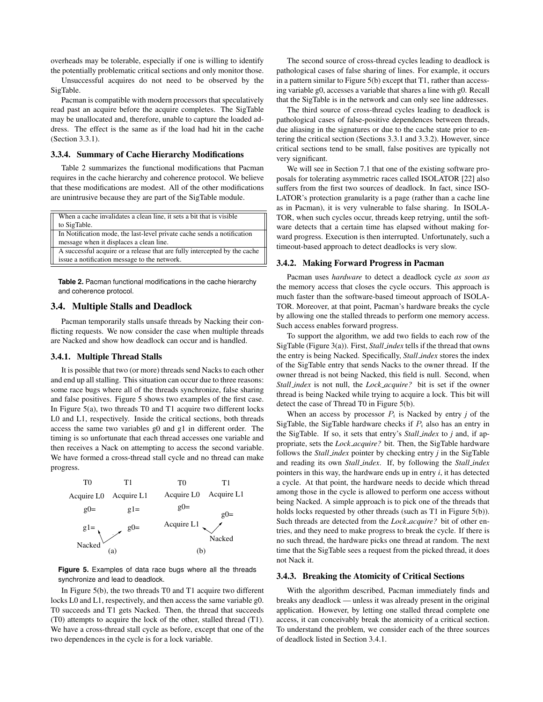overheads may be tolerable, especially if one is willing to identify the potentially problematic critical sections and only monitor those.

Unsuccessful acquires do not need to be observed by the SigTable.

Pacman is compatible with modern processors that speculatively read past an acquire before the acquire completes. The SigTable may be unallocated and, therefore, unable to capture the loaded address. The effect is the same as if the load had hit in the cache (Section 3.3.1).

#### **3.3.4. Summary of Cache Hierarchy Modifications**

Table 2 summarizes the functional modifications that Pacman requires in the cache hierarchy and coherence protocol. We believe that these modifications are modest. All of the other modifications are unintrusive because they are part of the SigTable module.

| When a cache invalidates a clean line, it sets a bit that is visible      |
|---------------------------------------------------------------------------|
| to SigTable.                                                              |
| In Notification mode, the last-level private cache sends a notification   |
| message when it displaces a clean line.                                   |
| A successful acquire or a release that are fully intercepted by the cache |
| issue a notification message to the network.                              |

**Table 2.** Pacman functional modifications in the cache hierarchy and coherence protocol.

## **3.4. Multiple Stalls and Deadlock**

Pacman temporarily stalls unsafe threads by Nacking their conflicting requests. We now consider the case when multiple threads are Nacked and show how deadlock can occur and is handled.

#### **3.4.1. Multiple Thread Stalls**

It is possible that two (or more) threads send Nacks to each other and end up all stalling. This situation can occur due to three reasons: some race bugs where all of the threads synchronize, false sharing and false positives. Figure 5 shows two examples of the first case. In Figure 5(a), two threads T0 and T1 acquire two different locks L0 and L1, respectively. Inside the critical sections, both threads access the same two variables g0 and g1 in different order. The timing is so unfortunate that each thread accesses one variable and then receives a Nack on attempting to access the second variable. We have formed a cross-thread stall cycle and no thread can make progress.



**Figure 5.** Examples of data race bugs where all the threads synchronize and lead to deadlock.

In Figure 5(b), the two threads T0 and T1 acquire two different locks L0 and L1, respectively, and then access the same variable g0. T0 succeeds and T1 gets Nacked. Then, the thread that succeeds (T0) attempts to acquire the lock of the other, stalled thread (T1). We have a cross-thread stall cycle as before, except that one of the two dependences in the cycle is for a lock variable.

The second source of cross-thread cycles leading to deadlock is pathological cases of false sharing of lines. For example, it occurs in a pattern similar to Figure 5(b) except that T1, rather than accessing variable g0, accesses a variable that shares a line with g0. Recall that the SigTable is in the network and can only see line addresses.

The third source of cross-thread cycles leading to deadlock is pathological cases of false-positive dependences between threads, due aliasing in the signatures or due to the cache state prior to entering the critical section (Sections 3.3.1 and 3.3.2). However, since critical sections tend to be small, false positives are typically not very significant.

We will see in Section 7.1 that one of the existing software proposals for tolerating asymmetric races called ISOLATOR [22] also suffers from the first two sources of deadlock. In fact, since ISO-LATOR's protection granularity is a page (rather than a cache line as in Pacman), it is very vulnerable to false sharing. In ISOLA-TOR, when such cycles occur, threads keep retrying, until the software detects that a certain time has elapsed without making forward progress. Execution is then interrupted. Unfortunately, such a timeout-based approach to detect deadlocks is very slow.

#### **3.4.2. Making Forward Progress in Pacman**

Pacman uses *hardware* to detect a deadlock cycle *as soon as* the memory access that closes the cycle occurs. This approach is much faster than the software-based timeout approach of ISOLA-TOR. Moreover, at that point, Pacman's hardware breaks the cycle by allowing one the stalled threads to perform one memory access. Such access enables forward progress.

To support the algorithm, we add two fields to each row of the SigTable (Figure 3(a)). First, *Stall index* tells if the thread that owns the entry is being Nacked. Specifically, *Stall index* stores the index of the SigTable entry that sends Nacks to the owner thread. If the owner thread is not being Nacked, this field is null. Second, when *Stall index* is not null, the *Lock acquire?* bit is set if the owner thread is being Nacked while trying to acquire a lock. This bit will detect the case of Thread T0 in Figure 5(b).

When an access by processor  $P_i$  is Nacked by entry  $j$  of the SigTable, the SigTable hardware checks if  $P_i$  also has an entry in the SigTable. If so, it sets that entry's *Stall index* to *j* and, if appropriate, sets the *Lock acquire?* bit. Then, the SigTable hardware follows the *Stall index* pointer by checking entry *j* in the SigTable and reading its own *Stall index*. If, by following the *Stall index* pointers in this way, the hardware ends up in entry *i*, it has detected a cycle. At that point, the hardware needs to decide which thread among those in the cycle is allowed to perform one access without being Nacked. A simple approach is to pick one of the threads that holds locks requested by other threads (such as T1 in Figure 5(b)). Such threads are detected from the *Lock acquire?* bit of other entries, and they need to make progress to break the cycle. If there is no such thread, the hardware picks one thread at random. The next time that the SigTable sees a request from the picked thread, it does not Nack it.

#### **3.4.3. Breaking the Atomicity of Critical Sections**

With the algorithm described, Pacman immediately finds and breaks any deadlock — unless it was already present in the original application. However, by letting one stalled thread complete one access, it can conceivably break the atomicity of a critical section. To understand the problem, we consider each of the three sources of deadlock listed in Section 3.4.1.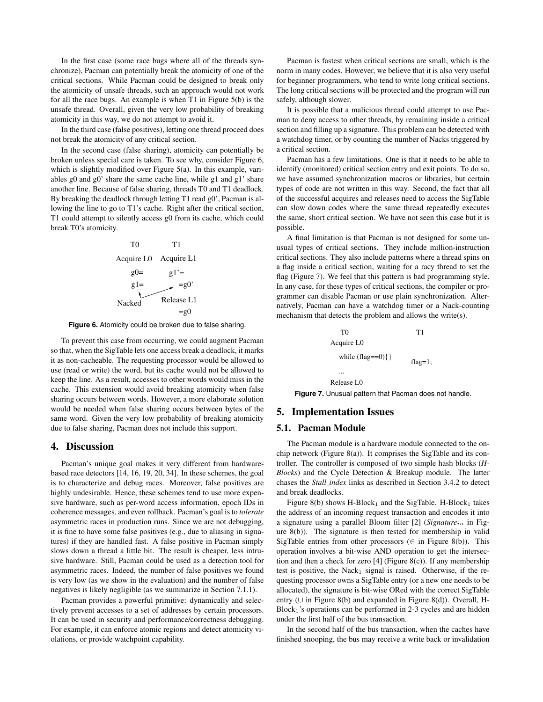In the first case (some race bugs where all of the threads synchronize), Pacman can potentially break the atomicity of one of the critical sections. While Pacman could be designed to break only the atomicity of unsafe threads, such an approach would not work for all the race bugs. An example is when T1 in Figure 5(b) is the unsafe thread. Overall, given the very low probability of breaking atomicity in this way, we do not attempt to avoid it.

In the third case (false positives), letting one thread proceed does not break the atomicity of any critical section.

In the second case (false sharing), atomicity can potentially be broken unless special care is taken. To see why, consider Figure 6, which is slightly modified over Figure 5(a). In this example, variables g0 and g0' share the same cache line, while g1 and g1' share another line. Because of false sharing, threads T0 and T1 deadlock. By breaking the deadlock through letting T1 read g0', Pacman is allowing the line to go to T1's cache. Right after the critical section, T1 could attempt to silently access g0 from its cache, which could break T0's atomicity.



**Figure 6.** Atomicity could be broken due to false sharing.

To prevent this case from occurring, we could augment Pacman so that, when the SigTable lets one access break a deadlock, it marks it as non-cacheable. The requesting processor would be allowed to use (read or write) the word, but its cache would not be allowed to keep the line. As a result, accesses to other words would miss in the cache. This extension would avoid breaking atomicity when false sharing occurs between words. However, a more elaborate solution would be needed when false sharing occurs between bytes of the same word. Given the very low probability of breaking atomicity due to false sharing, Pacman does not include this support.

#### **4. Discussion**

Pacman's unique goal makes it very different from hardwarebased race detectors [14, 16, 19, 20, 34]. In these schemes, the goal is to characterize and debug races. Moreover, false positives are highly undesirable. Hence, these schemes tend to use more expensive hardware, such as per-word access information, epoch IDs in coherence messages, and even rollback. Pacman's goal isto *tolerate* asymmetric races in production runs. Since we are not debugging, it is fine to have some false positives (e.g., due to aliasing in signatures) if they are handled fast. A false positive in Pacman simply slows down a thread a little bit. The result is cheaper, less intrusive hardware. Still, Pacman could be used as a detection tool for asymmetric races. Indeed, the number of false positives we found is very low (as we show in the evaluation) and the number of false negatives is likely negligible (as we summarize in Section 7.1.1).

Pacman provides a powerful primitive: dynamically and selectively prevent accesses to a set of addresses by certain processors. It can be used in security and performance/correctness debugging. For example, it can enforce atomic regions and detect atomicity violations, or provide watchpoint capability.

Pacman is fastest when critical sections are small, which is the norm in many codes. However, we believe that it is also very useful for beginner programmers, who tend to write long critical sections. The long critical sections will be protected and the program will run safely, although slower.

It is possible that a malicious thread could attempt to use Pacman to deny access to other threads, by remaining inside a critical section and filling up a signature. This problem can be detected with a watchdog timer, or by counting the number of Nacks triggered by a critical section.

Pacman has a few limitations. One is that it needs to be able to identify (monitored) critical section entry and exit points. To do so, we have assumed synchronization macros or libraries, but certain types of code are not written in this way. Second, the fact that all of the successful acquires and releases need to access the SigTable can slow down codes where the same thread repeatedly executes the same, short critical section. We have not seen this case but it is possible.

A final limitation is that Pacman is not designed for some unusual types of critical sections. They include million-instruction critical sections. They also include patterns where a thread spins on a flag inside a critical section, waiting for a racy thread to set the flag (Figure 7). We feel that this pattern is bad programming style. In any case, for these types of critical sections, the compiler or programmer can disable Pacman or use plain synchronization. Alternatively, Pacman can have a watchdog timer or a Nack-counting mechanism that detects the problem and allows the write(s).



**Figure 7.** Unusual pattern that Pacman does not handle.

### **5. Implementation Issues**

# **5.1. Pacman Module**

The Pacman module is a hardware module connected to the onchip network (Figure 8(a)). It comprises the SigTable and its controller. The controller is composed of two simple hash blocks (*H-Blocks*) and the Cycle Detection & Breakup module. The latter chases the *Stall index* links as described in Section 3.4.2 to detect and break deadlocks.

Figure 8(b) shows  $H-Block<sub>1</sub>$  and the SigTable.  $H-Block<sub>1</sub>$  takes the address of an incoming request transaction and encodes it into a signature using a parallel Bloom filter [2] (*Signature*in in Figure 8(b)). The signature is then tested for membership in valid SigTable entries from other processors ( $\in$  in Figure 8(b)). This operation involves a bit-wise AND operation to get the intersection and then a check for zero  $[4]$  (Figure 8(c)). If any membership test is positive, the Nack<sub>1</sub> signal is raised. Otherwise, if the requesting processor owns a SigTable entry (or a new one needs to be allocated), the signature is bit-wise ORed with the correct SigTable entry (∪ in Figure 8(b) and expanded in Figure 8(d)). Overall, H- $Block<sub>1</sub>$ 's operations can be performed in 2-3 cycles and are hidden under the first half of the bus transaction.

In the second half of the bus transaction, when the caches have finished snooping, the bus may receive a write back or invalidation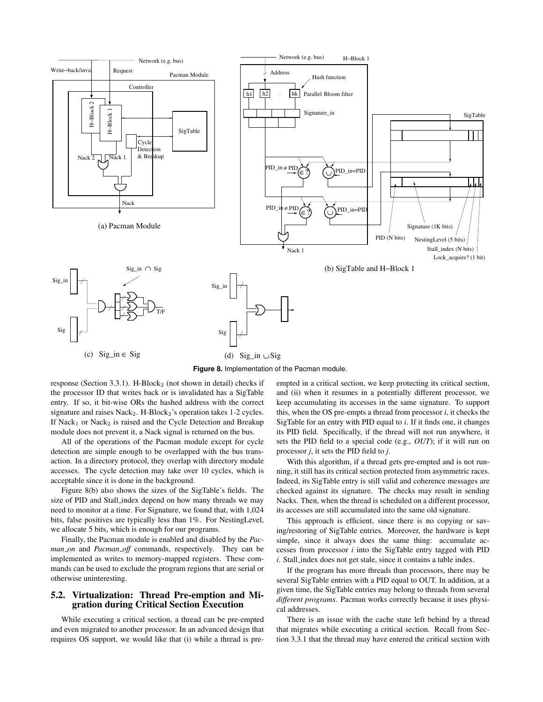

**Figure 8.** Implementation of the Pacman module.

response (Section 3.3.1). H-Block<sub>2</sub> (not shown in detail) checks if the processor ID that writes back or is invalidated has a SigTable entry. If so, it bit-wise ORs the hashed address with the correct signature and raises  $Nack<sub>2</sub>$ . H-Block<sub>2</sub>'s operation takes 1-2 cycles. If Nack<sub>1</sub> or Nack<sub>2</sub> is raised and the Cycle Detection and Breakup module does not prevent it, a Nack signal is returned on the bus.

All of the operations of the Pacman module except for cycle detection are simple enough to be overlapped with the bus transaction. In a directory protocol, they overlap with directory module accesses. The cycle detection may take over 10 cycles, which is acceptable since it is done in the background.

Figure 8(b) also shows the sizes of the SigTable's fields. The size of PID and Stall index depend on how many threads we may need to monitor at a time. For Signature, we found that, with 1,024 bits, false positives are typically less than 1%. For NestingLevel, we allocate 5 bits, which is enough for our programs.

Finally, the Pacman module is enabled and disabled by the *Pacman on* and *Pacman off* commands, respectively. They can be implemented as writes to memory-mapped registers. These commands can be used to exclude the program regions that are serial or otherwise uninteresting.

# **5.2. Virtualization: Thread Pre-emption and Migration during Critical Section Execution**

While executing a critical section, a thread can be pre-empted and even migrated to another processor. In an advanced design that requires OS support, we would like that (i) while a thread is pre-

empted in a critical section, we keep protecting its critical section, and (ii) when it resumes in a potentially different processor, we keep accumulating its accesses in the same signature. To support this, when the OS pre-empts a thread from processor *i*, it checks the SigTable for an entry with PID equal to *i*. If it finds one, it changes its PID field. Specifically, if the thread will not run anywhere, it sets the PID field to a special code (e.g., *OUT*); if it will run on processor *j*, it sets the PID field to *j*.

With this algorithm, if a thread gets pre-empted and is not running, it still has its critical section protected from asymmetric races. Indeed, its SigTable entry is still valid and coherence messages are checked against its signature. The checks may result in sending Nacks. Then, when the thread is scheduled on a different processor, its accesses are still accumulated into the same old signature.

This approach is efficient, since there is no copying or saving/restoring of SigTable entries. Moreover, the hardware is kept simple, since it always does the same thing: accumulate accesses from processor *i* into the SigTable entry tagged with PID *i*. Stall index does not get stale, since it contains a table index.

If the program has more threads than processors, there may be several SigTable entries with a PID equal to OUT. In addition, at a given time, the SigTable entries may belong to threads from several *different programs*. Pacman works correctly because it uses physical addresses.

There is an issue with the cache state left behind by a thread that migrates while executing a critical section. Recall from Section 3.3.1 that the thread may have entered the critical section with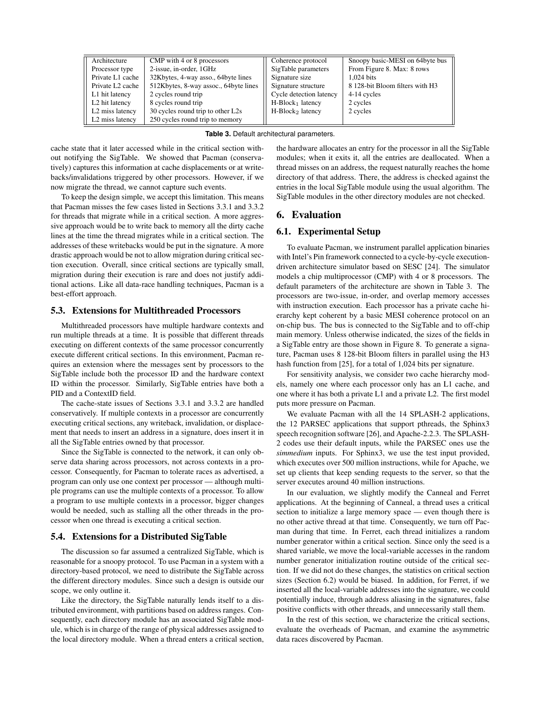| Architecture                 | CMP with 4 or 8 processors            | Coherence protocol           | Snoopy basic-MESI on 64byte bus |
|------------------------------|---------------------------------------|------------------------------|---------------------------------|
| Processor type               | 2-issue, in-order, 1GHz               | SigTable parameters          | From Figure 8. Max: 8 rows      |
| Private L1 cache             | 32Kbytes, 4-way asso., 64byte lines   | Signature size               | $1.024$ bits                    |
| Private L <sub>2</sub> cache | 512Kbytes, 8-way assoc., 64byte lines | Signature structure          | 8 128-bit Bloom filters with H3 |
| L1 hit latency               | 2 cycles round trip                   | Cycle detection latency      | 4-14 cycles                     |
| L <sub>2</sub> hit latency   | 8 cycles round trip                   | $H-Block1$ latency           | 2 cycles                        |
| L2 miss latency              | 30 cycles round trip to other L2s     | H-Block <sub>2</sub> latency | 2 cycles                        |
| L2 miss latency              | 250 cycles round trip to memory       |                              |                                 |

| Table 3. Default architectural parameters. |  |
|--------------------------------------------|--|
|--------------------------------------------|--|

cache state that it later accessed while in the critical section without notifying the SigTable. We showed that Pacman (conservatively) captures this information at cache displacements or at writebacks/invalidations triggered by other processors. However, if we now migrate the thread, we cannot capture such events.

To keep the design simple, we accept this limitation. This means that Pacman misses the few cases listed in Sections 3.3.1 and 3.3.2 for threads that migrate while in a critical section. A more aggressive approach would be to write back to memory all the dirty cache lines at the time the thread migrates while in a critical section. The addresses of these writebacks would be put in the signature. A more drastic approach would be not to allow migration during critical section execution. Overall, since critical sections are typically small, migration during their execution is rare and does not justify additional actions. Like all data-race handling techniques, Pacman is a best-effort approach.

## **5.3. Extensions for Multithreaded Processors**

Multithreaded processors have multiple hardware contexts and run multiple threads at a time. It is possible that different threads executing on different contexts of the same processor concurrently execute different critical sections. In this environment, Pacman requires an extension where the messages sent by processors to the SigTable include both the processor ID and the hardware context ID within the processor. Similarly, SigTable entries have both a PID and a ContextID field.

The cache-state issues of Sections 3.3.1 and 3.3.2 are handled conservatively. If multiple contexts in a processor are concurrently executing critical sections, any writeback, invalidation, or displacement that needs to insert an address in a signature, does insert it in all the SigTable entries owned by that processor.

Since the SigTable is connected to the network, it can only observe data sharing across processors, not across contexts in a processor. Consequently, for Pacman to tolerate races as advertised, a program can only use one context per processor — although multiple programs can use the multiple contexts of a processor. To allow a program to use multiple contexts in a processor, bigger changes would be needed, such as stalling all the other threads in the processor when one thread is executing a critical section.

#### **5.4. Extensions for a Distributed SigTable**

The discussion so far assumed a centralized SigTable, which is reasonable for a snoopy protocol. To use Pacman in a system with a directory-based protocol, we need to distribute the SigTable across the different directory modules. Since such a design is outside our scope, we only outline it.

Like the directory, the SigTable naturally lends itself to a distributed environment, with partitions based on address ranges. Consequently, each directory module has an associated SigTable module, which is in charge of the range of physical addresses assigned to the local directory module. When a thread enters a critical section, the hardware allocates an entry for the processor in all the SigTable modules; when it exits it, all the entries are deallocated. When a thread misses on an address, the request naturally reaches the home directory of that address. There, the address is checked against the entries in the local SigTable module using the usual algorithm. The SigTable modules in the other directory modules are not checked.

## **6. Evaluation**

#### **6.1. Experimental Setup**

To evaluate Pacman, we instrument parallel application binaries with Intel's Pin framework connected to a cycle-by-cycle executiondriven architecture simulator based on SESC [24]. The simulator models a chip multiprocessor (CMP) with 4 or 8 processors. The default parameters of the architecture are shown in Table 3. The processors are two-issue, in-order, and overlap memory accesses with instruction execution. Each processor has a private cache hierarchy kept coherent by a basic MESI coherence protocol on an on-chip bus. The bus is connected to the SigTable and to off-chip main memory. Unless otherwise indicated, the sizes of the fields in a SigTable entry are those shown in Figure 8. To generate a signature, Pacman uses 8 128-bit Bloom filters in parallel using the H3 hash function from [25], for a total of 1,024 bits per signature.

For sensitivity analysis, we consider two cache hierarchy models, namely one where each processor only has an L1 cache, and one where it has both a private L1 and a private L2. The first model puts more pressure on Pacman.

We evaluate Pacman with all the 14 SPLASH-2 applications, the 12 PARSEC applications that support pthreads, the Sphinx3 speech recognition software [26], and Apache-2.2.3. The SPLASH-2 codes use their default inputs, while the PARSEC ones use the *simmedium* inputs. For Sphinx3, we use the test input provided, which executes over 500 million instructions, while for Apache, we set up clients that keep sending requests to the server, so that the server executes around 40 million instructions.

In our evaluation, we slightly modify the Canneal and Ferret applications. At the beginning of Canneal, a thread uses a critical section to initialize a large memory space — even though there is no other active thread at that time. Consequently, we turn off Pacman during that time. In Ferret, each thread initializes a random number generator within a critical section. Since only the seed is a shared variable, we move the local-variable accesses in the random number generator initialization routine outside of the critical section. If we did not do these changes, the statistics on critical section sizes (Section 6.2) would be biased. In addition, for Ferret, if we inserted all the local-variable addresses into the signature, we could potentially induce, through address aliasing in the signatures, false positive conflicts with other threads, and unnecessarily stall them.

In the rest of this section, we characterize the critical sections, evaluate the overheads of Pacman, and examine the asymmetric data races discovered by Pacman.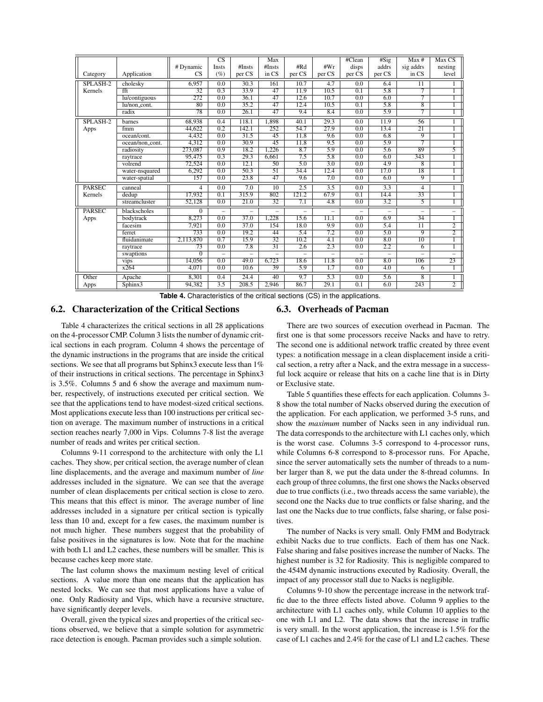|               |                 |                 | $\overline{\text{CS}}$ |        | Max             |                          |                   | #Clean                   | #Sig                     | Max#            | Max CS                   |
|---------------|-----------------|-----------------|------------------------|--------|-----------------|--------------------------|-------------------|--------------------------|--------------------------|-----------------|--------------------------|
|               |                 | # Dynamic       | Insts                  | #Insts | #Insts          | #Rd                      | #Wr               | disps                    | addrs                    | sig addrs       | nesting                  |
| Category      | Application     | $_{\rm CS}$     | $(\%)$                 | per CS | in CS           | per CS                   | per CS            | per CS                   | per CS                   | in CS           | level                    |
| SPLASH-2      | cholesky        | 6.957           | $\overline{0.0}$       | 30.3   | 161             | 10.7                     | 4.7               | 0.0                      | 6.4                      | 11              |                          |
| Kernels       | fft             | $\overline{32}$ | 0.3                    | 33.9   | 47              | 11.9                     | 10.5              | 0.1                      | $\overline{5.8}$         | 7               |                          |
|               | lu/contiguous   | 272             | 0.0                    | 36.1   | 47              | 12.6                     | 10.7              | $\overline{0.0}$         | 6.0                      | 7               |                          |
|               | lu/non_cont.    | 80              | 0.0                    | 35.2   | 47              | 12.4                     | 10.5              | 0.1                      | 5.8                      | 8               |                          |
|               | radix           | 78              | 0.0                    | 26.1   | 47              | 9.4                      | 8.4               | 0.0                      | 5.9                      | 7               | $\overline{1}$           |
| SPLASH-2      | barnes          | 68,938          | 0.4                    | 118.1  | 1,898           | 40.1                     | 29.3              | 0.0                      | 11.9                     | 56              |                          |
| Apps          | fmm             | 44.622          | 0.2                    | 142.1  | 252             | 54.7                     | 27.9              | 0.0                      | 13.4                     | $\overline{21}$ |                          |
|               | ocean/cont.     | 4.432           | 0.0                    | 31.5   | 45              | 11.8                     | 9.6               | 0.0                      | 6.8                      | $\overline{9}$  |                          |
|               | ocean/non_cont. | 4.312           | $\overline{0.0}$       | 30.9   | 45              | 11.8                     | 9.5               | 0.0                      | 5.9                      | 7               |                          |
|               | radiosity       | 273,087         | 0.9                    | 18.2   | 1.226           | 8.7                      | 5.9               | 0.0                      | 5.6                      | 89              | 5                        |
|               | raytrace        | 95.475          | 0.3                    | 29.3   | 6.661           | 7.5                      | 5.8               | 0.0                      | 6.0                      | 343             |                          |
|               | volrend         | 72,524          | 0.0                    | 12.1   | $\overline{50}$ | 5.0                      | $\overline{3.0}$  | 0.0                      | 4.9                      | $\overline{8}$  |                          |
|               | water-nsquared  | 6,292           | $\overline{0.0}$       | 50.3   | $\overline{51}$ | 34.4                     | 12.4              | 0.0                      | 17.0                     | $\overline{18}$ |                          |
|               | water-spatial   | 157             | 0.0                    | 23.8   | 47              | 9.6                      | 7.0               | 0.0                      | 6.0                      | 9               |                          |
| <b>PARSEC</b> | canneal         | 4               | 0.0                    | 7.0    | 10              | 2.5                      | $\overline{3.5}$  | 0.0                      | 3.3                      | $\overline{4}$  | $\mathbf{1}$             |
| Kernels       | dedup           | 17,932          | 0.1                    | 315.9  | 802             | 121.2                    | 67.9              | 0.1                      | 14.4                     | 33              |                          |
|               | streamcluster   | 52,128          | 0.0                    | 21.0   | 32              | 7.1                      | 4.8               | 0.0                      | 3.2                      | 5               | T                        |
| <b>PARSEC</b> | blackscholes    | $\Omega$        |                        |        |                 | ÷,                       |                   | ۳                        |                          | ÷,              | $\qquad \qquad -$        |
| Apps          | bodytrack       | 8,273           | 0.0                    | 37.0   | 1,228           | 15.6                     | 11.1              | 0.0                      | 6.9                      | 34              |                          |
|               | facesim         | 7,921           | 0.0                    | 37.0   | 154             | 18.0                     | 9.9               | 0.0                      | 5.4                      | $\overline{11}$ | $\overline{2}$           |
|               | ferret          | 733             | $\overline{0.0}$       | 19.2   | 44              | $\overline{5.4}$         | 7.2               | $\overline{0.0}$         | $\overline{5.0}$         | $\overline{9}$  | $\overline{2}$           |
|               | fluidanimate    | 2,113,870       | 0.7                    | 15.9   | 32              | 10.2                     | 4.1               | 0.0                      | 8.0                      | 10              |                          |
|               | raytrace        | 73              | 0.0                    | 7.8    | $\overline{31}$ | 2.6                      | 2.3               | 0.0                      | 2.2                      | 6               |                          |
|               | swaptions       | $\overline{0}$  | $\equiv$               | $=$    | $\equiv$        | $\overline{\phantom{0}}$ |                   | $\overline{\phantom{0}}$ | $\overline{\phantom{0}}$ |                 | $\overline{\phantom{m}}$ |
|               | vips            | 14,056          | $\overline{0.0}$       | 49.0   | 6,723           | 18.6                     | $\overline{11.8}$ | $\overline{0.0}$         | $\overline{8.0}$         | 106             | $\overline{23}$          |
|               | x264            | 4,071           | 0.0                    | 10.6   | 39              | 5.9                      | 1.7               | 0.0                      | 4.0                      | 6               |                          |
| Other         | Apache          | 8,301           | 0.4                    | 24.4   | 40              | 9.7                      | $\overline{5.3}$  | 0.0                      | 5.6                      | 8               | 1                        |
| Apps          | $S$ phinx $3$   | 94.382          | 3.5                    | 208.5  | 2.946           | 86.7                     | 29.1              | 0.1                      | 6.0                      | 243             | $\overline{2}$           |

**Table 4.** Characteristics of the critical sections (CS) in the applications.

# **6.2. Characterization of the Critical Sections**

Table 4 characterizes the critical sections in all 28 applications on the 4-processor CMP. Column 3 lists the number of dynamic critical sections in each program. Column 4 shows the percentage of the dynamic instructions in the programs that are inside the critical sections. We see that all programs but Sphinx3 execute less than  $1\%$ of their instructions in critical sections. The percentage in Sphinx3 is 3.5%. Columns 5 and 6 show the average and maximum number, respectively, of instructions executed per critical section. We see that the applications tend to have modest-sized critical sections. Most applications execute less than 100 instructions per critical section on average. The maximum number of instructions in a critical section reaches nearly 7,000 in Vips. Columns 7-8 list the average number of reads and writes per critical section.

Columns 9-11 correspond to the architecture with only the L1 caches. They show, per critical section, the average number of clean line displacements, and the average and maximum number of *line* addresses included in the signature. We can see that the average number of clean displacements per critical section is close to zero. This means that this effect is minor. The average number of line addresses included in a signature per critical section is typically less than 10 and, except for a few cases, the maximum number is not much higher. These numbers suggest that the probability of false positives in the signatures is low. Note that for the machine with both L1 and L2 caches, these numbers will be smaller. This is because caches keep more state.

The last column shows the maximum nesting level of critical sections. A value more than one means that the application has nested locks. We can see that most applications have a value of one. Only Radiosity and Vips, which have a recursive structure, have significantly deeper levels.

Overall, given the typical sizes and properties of the critical sections observed, we believe that a simple solution for asymmetric race detection is enough. Pacman provides such a simple solution.

#### **6.3. Overheads of Pacman**

There are two sources of execution overhead in Pacman. The first one is that some processors receive Nacks and have to retry. The second one is additional network traffic created by three event types: a notification message in a clean displacement inside a critical section, a retry after a Nack, and the extra message in a successful lock acquire or release that hits on a cache line that is in Dirty or Exclusive state.

Table 5 quantifies these effects for each application. Columns 3- 8 show the total number of Nacks observed during the execution of the application. For each application, we performed 3-5 runs, and show the *maximum* number of Nacks seen in any individual run. The data corresponds to the architecture with L1 caches only, which is the worst case. Columns 3-5 correspond to 4-processor runs, while Columns 6-8 correspond to 8-processor runs. For Apache, since the server automatically sets the number of threads to a number larger than 8, we put the data under the 8-thread columns. In each group of three columns, the first one shows the Nacks observed due to true conflicts (i.e., two threads access the same variable), the second one the Nacks due to true conflicts or false sharing, and the last one the Nacks due to true conflicts, false sharing, or false positives.

The number of Nacks is very small. Only FMM and Bodytrack exhibit Nacks due to true conflicts. Each of them has one Nack. False sharing and false positives increase the number of Nacks. The highest number is 32 for Radiosity. This is negligible compared to the 454M dynamic instructions executed by Radiosity. Overall, the impact of any processor stall due to Nacks is negligible.

Columns 9-10 show the percentage increase in the network traffic due to the three effects listed above. Column 9 applies to the architecture with L1 caches only, while Column 10 applies to the one with L1 and L2. The data shows that the increase in traffic is very small. In the worst application, the increase is 1.5% for the case of L1 caches and 2.4% for the case of L1 and L2 caches. These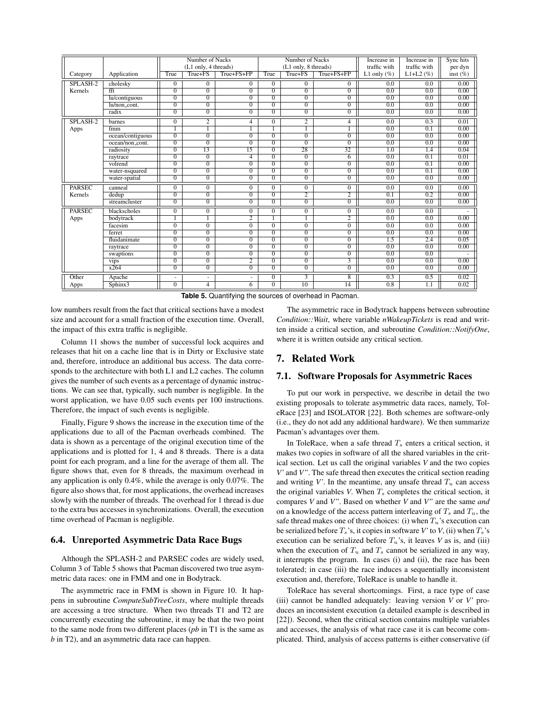|               |                  | Number of Nacks |                      |                |                      | Number of Nacks |                | Increase in      | Increase in  | Sync hits   |
|---------------|------------------|-----------------|----------------------|----------------|----------------------|-----------------|----------------|------------------|--------------|-------------|
|               |                  |                 | (L1 only, 4 threads) |                | (L1 only, 8 threads) |                 |                | traffic with     | traffic with | per dyn     |
| Category      | Application      | True            | $True + FS$          | True+FS+FP     | True                 | $True + FS$     | True+FS+FP     | L1 only $(\%)$   | $L1+L2(%)$   | inst $(\%)$ |
| SPLASH-2      | cholesky         | $\Omega$        | $\mathbf{0}$         | 0              | $\Omega$             | 0               | 0              | 0.0              | 0.0          | 0.00        |
| Kernels       | fft              | $\overline{0}$  | $\overline{0}$       | $\overline{0}$ | $\overline{0}$       | $\overline{0}$  | 0              | 0.0              | 0.0          | 0.00        |
|               | lu/contiguous    | $\overline{0}$  | $\overline{0}$       | $\overline{0}$ | $\overline{0}$       | $\overline{0}$  | $\Omega$       | 0.0              | 0.0          | 0.00        |
|               | lu/non_cont.     | $\overline{0}$  | $\overline{0}$       | $\overline{0}$ | $\overline{0}$       | $\overline{0}$  | $\overline{0}$ | 0.0              | 0.0          | 0.00        |
|               | radix            | $\overline{0}$  | $\overline{0}$       | $\overline{0}$ | $\overline{0}$       | $\overline{0}$  | $\overline{0}$ | 0.0              | 0.0          | 0.00        |
| SPLASH-2      | barnes           | $\mathbf{0}$    | 2                    | 4              | $\mathbf{0}$         | $\overline{2}$  | 4              | 0.0              | 0.3          | 0.01        |
| Apps          | $f_{mm}$         |                 |                      |                |                      |                 |                | 0.0              | 0.1          | 0.00        |
|               | ocean/contiguous | $\overline{0}$  | $\overline{0}$       | $\overline{0}$ | $\overline{0}$       | $\overline{0}$  | $\overline{0}$ | 0.0              | 0.0          | 0.00        |
|               | ocean/non_cont.  | $\overline{0}$  | $\overline{0}$       | $\overline{0}$ | $\overline{0}$       | $\overline{0}$  | $\mathbf{0}$   | 0.0              | 0.0          | 0.00        |
|               | radiosity        | $\overline{0}$  | 13                   | 15             | $\overline{0}$       | 28              | 32             | 1.0              | 1.4          | 0.04        |
|               | raytrace         | $\overline{0}$  | $\overline{0}$       | $\overline{4}$ | $\overline{0}$       | $\overline{0}$  | 6              | 0.0              | 0.1          | 0.01        |
|               | volrend          | $\overline{0}$  | $\overline{0}$       | $\overline{0}$ | $\overline{0}$       | $\overline{0}$  | $\overline{0}$ | 0.0              | 0.1          | 0.00        |
|               | water-nsquared   | $\overline{0}$  | $\overline{0}$       | $\overline{0}$ | $\overline{0}$       | $\overline{0}$  | $\mathbf{0}$   | 0.0              | 0.1          | 0.00        |
|               | water-spatial    | $\overline{0}$  | $\overline{0}$       | $\overline{0}$ | $\overline{0}$       | $\overline{0}$  | $\overline{0}$ | 0.0              | 0.0          | 0.00        |
| <b>PARSEC</b> | canneal          | $\mathbf{0}$    | $\overline{0}$       | $\overline{0}$ | $\overline{0}$       | $\overline{0}$  | $\overline{0}$ | 0.0              | 0.0          | 0.00        |
| Kernels       | dedup            | $\overline{0}$  | $\overline{0}$       | $\overline{0}$ | $\overline{0}$       | 2               | 2              | 0.1              | 0.2          | 0.00        |
|               | streamcluster    | $\overline{0}$  | $\overline{0}$       | $\overline{0}$ | $\overline{0}$       | $\overline{0}$  | $\overline{0}$ | 0.0              | 0.0          | 0.00        |
| <b>PARSEC</b> | blackscholes     | $\mathbf{0}$    | $\overline{0}$       | $\Omega$       | $\Omega$             | $\overline{0}$  | $\mathbf{0}$   | 0.0              | 0.0          |             |
| Apps          | bodytrack        |                 |                      | $\overline{2}$ |                      |                 | $\overline{2}$ | 0.0              | 0.0          | 0.00        |
|               | facesim          | $\overline{0}$  | $\overline{0}$       | $\overline{0}$ | $\overline{0}$       | $\overline{0}$  | $\overline{0}$ | 0.0              | 0.0          | 0.00        |
|               | ferret           | $\overline{0}$  | $\overline{0}$       | $\overline{0}$ | $\overline{0}$       | $\overline{0}$  | $\Omega$       | 0.0              | 0.0          | 0.00        |
|               | fluidanimate     | $\overline{0}$  | $\overline{0}$       | $\overline{0}$ | $\overline{0}$       | 0               | $\mathbf{0}$   | 1.5              | 2.4          | 0.05        |
|               | raytrace         | $\overline{0}$  | $\overline{0}$       | $\overline{0}$ | $\overline{0}$       | $\overline{0}$  | $\overline{0}$ | 0.0              | 0.0          | 0.00        |
|               | swaptions        | $\overline{0}$  | $\overline{0}$       | $\overline{0}$ | $\overline{0}$       | $\overline{0}$  | $\overline{0}$ | 0.0              | 0.0          |             |
|               | vips             | $\overline{0}$  | $\overline{0}$       | $\overline{2}$ | $\overline{0}$       | $\mathbf{0}$    | 3              | $\overline{0.0}$ | 0.0          | 0.00        |
|               | x264             | $\overline{0}$  | $\overline{0}$       | $\overline{0}$ | $\overline{0}$       | $\overline{0}$  | $\overline{0}$ | 0.0              | 0.0          | 0.00        |
| Other         | Apache           | $\bar{a}$       | ä,                   | ÷.             | $\mathbf{0}$         | 3               | 8              | 0.3              | 0.5          | 0.02        |
| Apps          | Sphinx3          | $\Omega$        | 4                    | 6              | $\overline{0}$       | 10              | 14             | 0.8              | 1.1          | 0.02        |

**Table 5.** Quantifying the sources of overhead in Pacman.

low numbers result from the fact that critical sections have a modest size and account for a small fraction of the execution time. Overall, the impact of this extra traffic is negligible.

Column 11 shows the number of successful lock acquires and releases that hit on a cache line that is in Dirty or Exclusive state and, therefore, introduce an additional bus access. The data corresponds to the architecture with both L1 and L2 caches. The column gives the number of such events as a percentage of dynamic instructions. We can see that, typically, such number is negligible. In the worst application, we have 0.05 such events per 100 instructions. Therefore, the impact of such events is negligible.

Finally, Figure 9 shows the increase in the execution time of the applications due to all of the Pacman overheads combined. The data is shown as a percentage of the original execution time of the applications and is plotted for 1, 4 and 8 threads. There is a data point for each program, and a line for the average of them all. The figure shows that, even for 8 threads, the maximum overhead in any application is only 0.4%, while the average is only 0.07%. The figure also shows that, for most applications, the overhead increases slowly with the number of threads. The overhead for 1 thread is due to the extra bus accesses in synchronizations. Overall, the execution time overhead of Pacman is negligible.

#### **6.4. Unreported Asymmetric Data Race Bugs**

Although the SPLASH-2 and PARSEC codes are widely used, Column 3 of Table 5 shows that Pacman discovered two true asymmetric data races: one in FMM and one in Bodytrack.

The asymmetric race in FMM is shown in Figure 10. It happens in subroutine *ComputeSubTreeCosts*, where multiple threads are accessing a tree structure. When two threads T1 and T2 are concurrently executing the subroutine, it may be that the two point to the same node from two different places (*pb* in T1 is the same as *b* in T2), and an asymmetric data race can happen.

The asymmetric race in Bodytrack happens between subroutine *Condition::Wait*, where variable *nWakeupTickets* is read and written inside a critical section, and subroutine *Condition::NotifyOne*, where it is written outside any critical section.

## **7. Related Work**

#### **7.1. Software Proposals for Asymmetric Races**

To put our work in perspective, we describe in detail the two existing proposals to tolerate asymmetric data races, namely, ToleRace [23] and ISOLATOR [22]. Both schemes are software-only (i.e., they do not add any additional hardware). We then summarize Pacman's advantages over them.

In ToleRace, when a safe thread  $T_s$  enters a critical section, it makes two copies in software of all the shared variables in the critical section. Let us call the original variables *V* and the two copies *V'* and *V"*. The safe thread then executes the critical section reading and writing  $V'$ . In the meantime, any unsafe thread  $T_u$  can access the original variables  $V$ . When  $T_s$  completes the critical section, it compares *V* and *V"*. Based on whether *V* and *V"* are the same *and* on a knowledge of the access pattern interleaving of  $T_s$  and  $T_u$ , the safe thread makes one of three choices: (i) when  $T_u$ 's execution can be serialized before  $T_s$ 's, it copies in software *V*' to *V*, (ii) when  $T_s$ 's execution can be serialized before  $T_u$ 's, it leaves *V* as is, and (iii) when the execution of  $T_u$  and  $T_s$  cannot be serialized in any way, it interrupts the program. In cases (i) and (ii), the race has been tolerated; in case (iii) the race induces a sequentially inconsistent execution and, therefore, ToleRace is unable to handle it.

ToleRace has several shortcomings. First, a race type of case (iii) cannot be handled adequately: leaving version *V* or *V'* produces an inconsistent execution (a detailed example is described in [22]). Second, when the critical section contains multiple variables and accesses, the analysis of what race case it is can become complicated. Third, analysis of access patterns is either conservative (if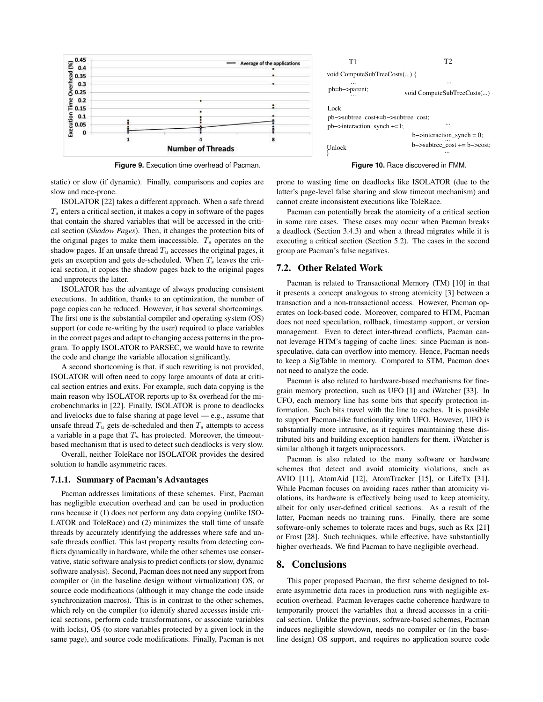

**Figure 9.** Execution time overhead of Pacman.

static) or slow (if dynamic). Finally, comparisons and copies are slow and race-prone.

ISOLATOR [22] takes a different approach. When a safe thread  $T<sub>s</sub>$  enters a critical section, it makes a copy in software of the pages that contain the shared variables that will be accessed in the critical section (*Shadow Pages*). Then, it changes the protection bits of the original pages to make them inaccessible.  $T_s$  operates on the shadow pages. If an unsafe thread  $T_u$  accesses the original pages, it gets an exception and gets de-scheduled. When  $T<sub>s</sub>$  leaves the critical section, it copies the shadow pages back to the original pages and unprotects the latter.

ISOLATOR has the advantage of always producing consistent executions. In addition, thanks to an optimization, the number of page copies can be reduced. However, it has several shortcomings. The first one is the substantial compiler and operating system (OS) support (or code re-writing by the user) required to place variables in the correct pages and adapt to changing access patternsin the program. To apply ISOLATOR to PARSEC, we would have to rewrite the code and change the variable allocation significantly.

A second shortcoming is that, if such rewriting is not provided, ISOLATOR will often need to copy large amounts of data at critical section entries and exits. For example, such data copying is the main reason why ISOLATOR reports up to 8x overhead for the microbenchmarks in [22]. Finally, ISOLATOR is prone to deadlocks and livelocks due to false sharing at page level — e.g., assume that unsafe thread  $T_u$  gets de-scheduled and then  $T_s$  attempts to access a variable in a page that  $T_u$  has protected. Moreover, the timeoutbased mechanism that is used to detect such deadlocks is very slow.

Overall, neither ToleRace nor ISOLATOR provides the desired solution to handle asymmetric races.

#### **7.1.1. Summary of Pacman's Advantages**

Pacman addresses limitations of these schemes. First, Pacman has negligible execution overhead and can be used in production runs because it (1) does not perform any data copying (unlike ISO-LATOR and ToleRace) and (2) minimizes the stall time of unsafe threads by accurately identifying the addresses where safe and unsafe threads conflict. This last property results from detecting conflicts dynamically in hardware, while the other schemes use conservative, static software analysis to predict conflicts (or slow, dynamic software analysis). Second, Pacman does not need any support from compiler or (in the baseline design without virtualization) OS, or source code modifications (although it may change the code inside synchronization macros). This is in contrast to the other schemes, which rely on the compiler (to identify shared accesses inside critical sections, perform code transformations, or associate variables with locks), OS (to store variables protected by a given lock in the same page), and source code modifications. Finally, Pacman is not



**Figure 10.** Race discovered in FMM.

prone to wasting time on deadlocks like ISOLATOR (due to the latter's page-level false sharing and slow timeout mechanism) and cannot create inconsistent executions like ToleRace.

Pacman can potentially break the atomicity of a critical section in some rare cases. These cases may occur when Pacman breaks a deadlock (Section 3.4.3) and when a thread migrates while it is executing a critical section (Section 5.2). The cases in the second group are Pacman's false negatives.

#### **7.2. Other Related Work**

Pacman is related to Transactional Memory (TM) [10] in that it presents a concept analogous to strong atomicity [3] between a transaction and a non-transactional access. However, Pacman operates on lock-based code. Moreover, compared to HTM, Pacman does not need speculation, rollback, timestamp support, or version management. Even to detect inter-thread conflicts, Pacman cannot leverage HTM's tagging of cache lines: since Pacman is nonspeculative, data can overflow into memory. Hence, Pacman needs to keep a SigTable in memory. Compared to STM, Pacman does not need to analyze the code.

Pacman is also related to hardware-based mechanisms for finegrain memory protection, such as UFO [1] and iWatcher [33]. In UFO, each memory line has some bits that specify protection information. Such bits travel with the line to caches. It is possible to support Pacman-like functionality with UFO. However, UFO is substantially more intrusive, as it requires maintaining these distributed bits and building exception handlers for them. iWatcher is similar although it targets uniprocessors.

Pacman is also related to the many software or hardware schemes that detect and avoid atomicity violations, such as AVIO [11], AtomAid [12], AtomTracker [15], or LifeTx [31]. While Pacman focuses on avoiding races rather than atomicity violations, its hardware is effectively being used to keep atomicity, albeit for only user-defined critical sections. As a result of the latter, Pacman needs no training runs. Finally, there are some software-only schemes to tolerate races and bugs, such as Rx [21] or Frost [28]. Such techniques, while effective, have substantially higher overheads. We find Pacman to have negligible overhead.

## **8. Conclusions**

This paper proposed Pacman, the first scheme designed to tolerate asymmetric data races in production runs with negligible execution overhead. Pacman leverages cache coherence hardware to temporarily protect the variables that a thread accesses in a critical section. Unlike the previous, software-based schemes, Pacman induces negligible slowdown, needs no compiler or (in the baseline design) OS support, and requires no application source code